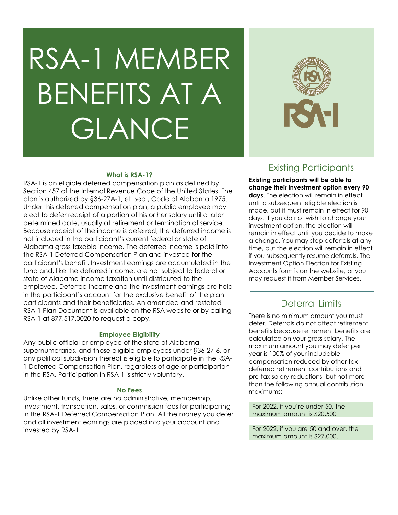# RSA-1 MEMBER BENEFITS AT A GLANCE



### **What is RSA-1?**

RSA-1 is an eligible deferred compensation plan as defined by Section 457 of the Internal Revenue Code of the United States. The plan is authorized by §36-27A-1, et. seq., Code of Alabama 1975. Under this deferred compensation plan, a public employee may elect to defer receipt of a portion of his or her salary until a later determined date, usually at retirement or termination of service. Because receipt of the income is deferred, the deferred income is not included in the participant's current federal or state of Alabama gross taxable income. The deferred income is paid into the RSA-1 Deferred Compensation Plan and invested for the participant's benefit. Investment earnings are accumulated in the fund and, like the deferred income, are not subject to federal or state of Alabama income taxation until distributed to the employee. Deferred income and the investment earnings are held in the participant's account for the exclusive benefit of the plan participants and their beneficiaries. An amended and restated RSA-1 Plan Document is available on the RSA website or by calling RSA-1 at 877.517.0020 to request a copy.

#### **Employee Eligibility**

Any public official or employee of the state of Alabama, supernumeraries, and those eligible employees under §36-27-6, or any political subdivision thereof is eligible to participate in the RSA-1 Deferred Compensation Plan, regardless of age or participation in the RSA. Participation in RSA-1 is strictly voluntary.

#### **No Fees**

Unlike other funds, there are no administrative, membership, investment, transaction, sales, or commission fees for participating in the RSA-1 Deferred Compensation Plan. All the money you defer and all investment earnings are placed into your account and invested by RSA-1.

# Existing Participants

**Existing participants will be able to change their investment option every 90 days**. The election will remain in effect until a subsequent eligible election is made, but it must remain in effect for 90 days. If you do not wish to change your investment option, the election will remain in effect until you decide to make a change. You may stop deferrals at any time, but the election will remain in effect if you subsequently resume deferrals. The Investment Option Election for Existing Accounts form is on the website, or you may request it from Member Services.

# Deferral Limits

There is no minimum amount you must defer. Deferrals do not affect retirement benefits because retirement benefits are calculated on your gross salary. The maximum amount you may defer per year is 100% of your includable compensation reduced by other taxdeferred retirement contributions and pre-tax salary reductions, but not more than the following annual contribution maximums:

For 2022, if you're under 50, the maximum amount is \$20,500

For 2022, if you are 50 and over, the maximum amount is \$27,000.